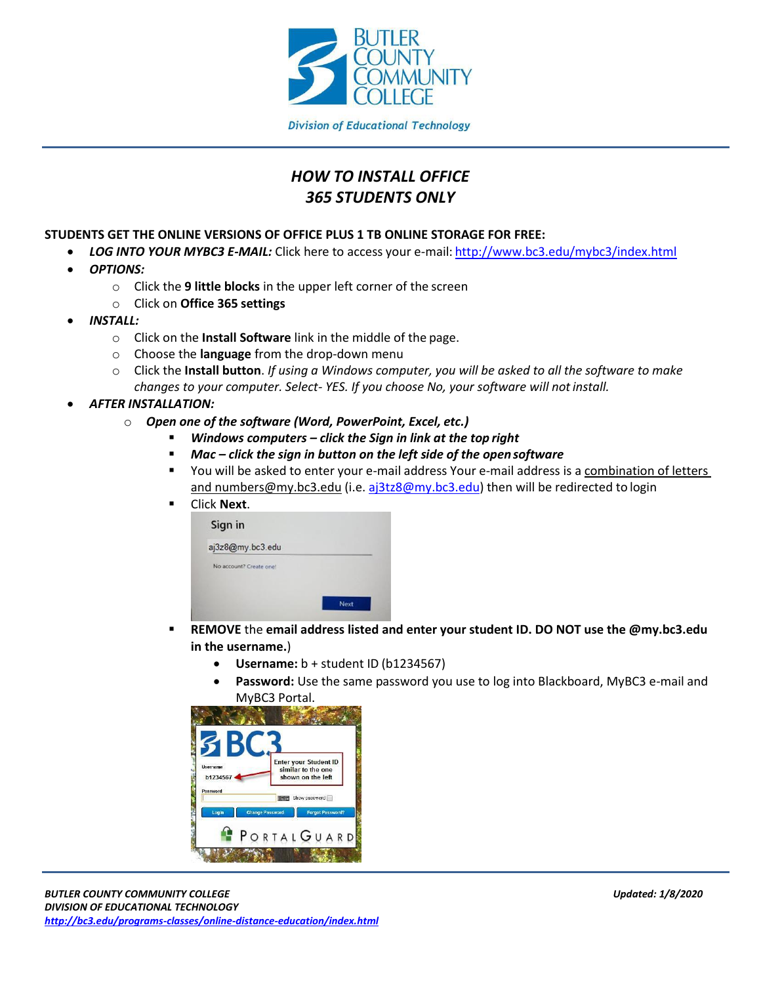

## *HOW TO INSTALL OFFICE 365 STUDENTS ONLY*

## **STUDENTS GET THE ONLINE VERSIONS OF OFFICE PLUS 1 TB ONLINE STORAGE FOR FREE:**

- *LOG INTO YOUR MYBC3 E-MAIL:* Click here to access your e-mail: <http://www.bc3.edu/mybc3/index.html>
- *OPTIONS:*
	- o Click the **9 little blocks** in the upper left corner of the screen
	- o Click on **Office 365 settings**
- *INSTALL:*
	- o Click on the **Install Software** link in the middle of the page.
	- o Choose the **language** from the drop-down menu
	- o Click the **Install button**. *If using a Windows computer, you will be asked to all the software to make changes to your computer. Select- YES. If you choose No, your software will notinstall.*
- *AFTER INSTALLATION:*
	- o *Open one of the software (Word, PowerPoint, Excel, etc.)*
		- *Windows computers – click the Sign in link at the top right*
		- *Mac – click the sign in button on the left side of the open software*
		- You will be asked to enter your e-mail address Your e-mail address is a combination of letters [and numbers@my.bc3.edu](mailto:andnumbers@my.bc3.edu) (i.e. [aj3tz8@my.bc3.edu\)](mailto:aj3tz8@my.bc3.edu) then will be redirected to login
		- Click **Next**.

| aj3z8@my.bc3.edu        |      |
|-------------------------|------|
| No account? Create one! |      |
|                         |      |
|                         | Next |

- **REMOVE** the **email address listed and enter your student ID. DO NOT use the @my.bc3.edu in the username.**)
	- **Username:** b + student ID (b1234567)
	- **Password:** Use the same password you use to log into Blackboard, MyBC3 e-mail and MyBC3 Portal.